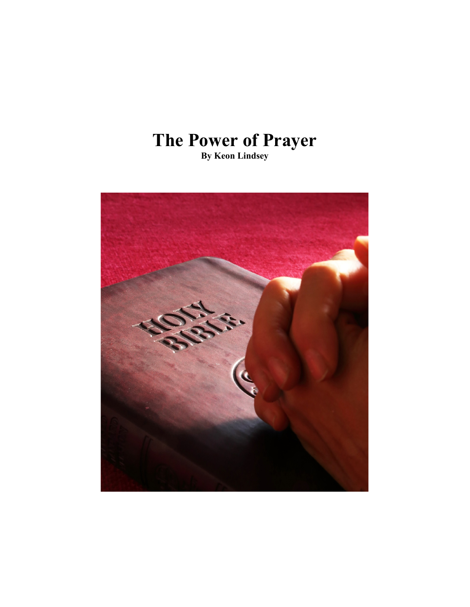# **The Power of Prayer**

**By Keon Lindsey**

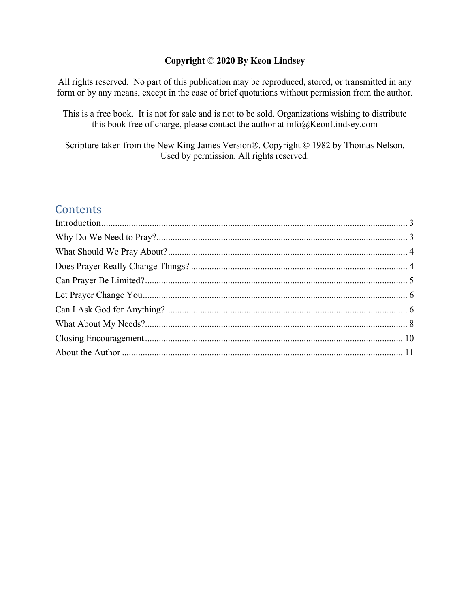### **Copyright** © **2020 By Keon Lindsey**

All rights reserved. No part of this publication may be reproduced, stored, or transmitted in any form or by any means, except in the case of brief quotations without permission from the author.

This is a free book. It is not for sale and is not to be sold. Organizations wishing to distribute this book free of charge, please contact the author at info@KeonLindsey.com

Scripture taken from the New King James Version®. Copyright © 1982 by Thomas Nelson. Used by permission. All rights reserved.

### **Contents**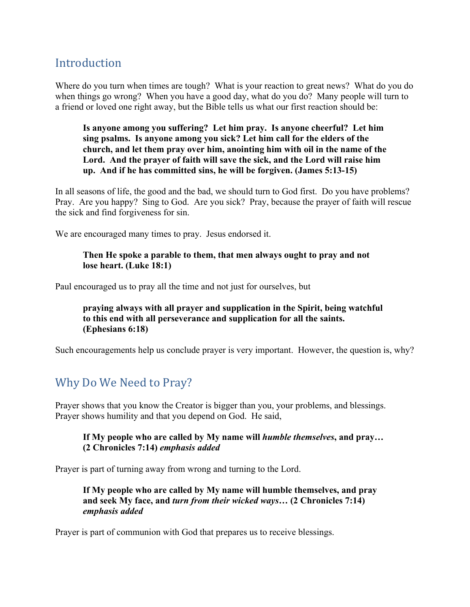### <span id="page-2-0"></span>**Introduction**

Where do you turn when times are tough? What is your reaction to great news? What do you do when things go wrong? When you have a good day, what do you do? Many people will turn to a friend or loved one right away, but the Bible tells us what our first reaction should be:

**Is anyone among you suffering? Let him pray. Is anyone cheerful? Let him sing psalms. Is anyone among you sick? Let him call for the elders of the church, and let them pray over him, anointing him with oil in the name of the Lord. And the prayer of faith will save the sick, and the Lord will raise him up. And if he has committed sins, he will be forgiven. (James 5:13-15)**

In all seasons of life, the good and the bad, we should turn to God first. Do you have problems? Pray. Are you happy? Sing to God. Are you sick? Pray, because the prayer of faith will rescue the sick and find forgiveness for sin.

We are encouraged many times to pray. Jesus endorsed it.

#### **Then He spoke a parable to them, that men always ought to pray and not lose heart. (Luke 18:1)**

Paul encouraged us to pray all the time and not just for ourselves, but

### **praying always with all prayer and supplication in the Spirit, being watchful to this end with all perseverance and supplication for all the saints. (Ephesians 6:18)**

Such encouragements help us conclude prayer is very important. However, the question is, why?

### <span id="page-2-1"></span>Why Do We Need to Pray?

Prayer shows that you know the Creator is bigger than you, your problems, and blessings. Prayer shows humility and that you depend on God. He said,

#### **If My people who are called by My name will** *humble themselves***, and pray… (2 Chronicles 7:14)** *emphasis added*

Prayer is part of turning away from wrong and turning to the Lord.

**If My people who are called by My name will humble themselves, and pray and seek My face, and** *turn from their wicked ways***… (2 Chronicles 7:14)** *emphasis added*

Prayer is part of communion with God that prepares us to receive blessings.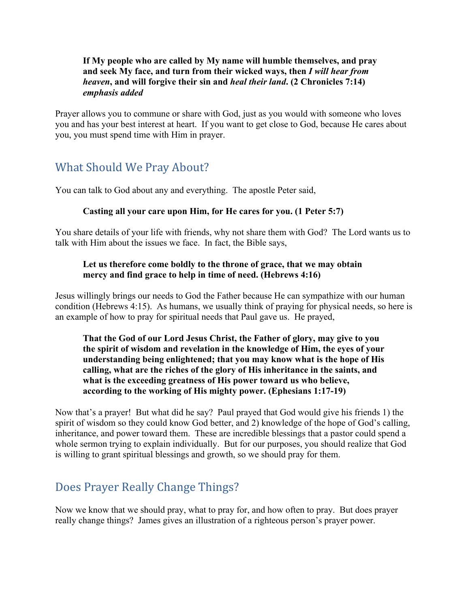#### **If My people who are called by My name will humble themselves, and pray and seek My face, and turn from their wicked ways, then** *I will hear from heaven***, and will forgive their sin and** *heal their land***. (2 Chronicles 7:14)** *emphasis added*

Prayer allows you to commune or share with God, just as you would with someone who loves you and has your best interest at heart. If you want to get close to God, because He cares about you, you must spend time with Him in prayer.

### <span id="page-3-0"></span>What Should We Pray About?

You can talk to God about any and everything. The apostle Peter said,

### **Casting all your care upon Him, for He cares for you. (1 Peter 5:7)**

You share details of your life with friends, why not share them with God? The Lord wants us to talk with Him about the issues we face. In fact, the Bible says,

#### **Let us therefore come boldly to the throne of grace, that we may obtain mercy and find grace to help in time of need. (Hebrews 4:16)**

Jesus willingly brings our needs to God the Father because He can sympathize with our human condition (Hebrews 4:15). As humans, we usually think of praying for physical needs, so here is an example of how to pray for spiritual needs that Paul gave us. He prayed,

### **That the God of our Lord Jesus Christ, the Father of glory, may give to you the spirit of wisdom and revelation in the knowledge of Him, the eyes of your understanding being enlightened; that you may know what is the hope of His calling, what are the riches of the glory of His inheritance in the saints, and what is the exceeding greatness of His power toward us who believe, according to the working of His mighty power. (Ephesians 1:17-19)**

Now that's a prayer! But what did he say? Paul prayed that God would give his friends 1) the spirit of wisdom so they could know God better, and 2) knowledge of the hope of God's calling, inheritance, and power toward them. These are incredible blessings that a pastor could spend a whole sermon trying to explain individually. But for our purposes, you should realize that God is willing to grant spiritual blessings and growth, so we should pray for them.

### <span id="page-3-1"></span>Does Prayer Really Change Things?

Now we know that we should pray, what to pray for, and how often to pray. But does prayer really change things? James gives an illustration of a righteous person's prayer power.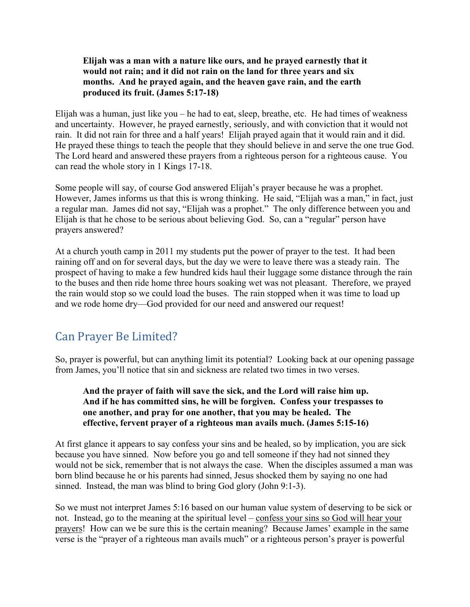#### **Elijah was a man with a nature like ours, and he prayed earnestly that it would not rain; and it did not rain on the land for three years and six months. And he prayed again, and the heaven gave rain, and the earth produced its fruit. (James 5:17-18)**

Elijah was a human, just like you – he had to eat, sleep, breathe, etc. He had times of weakness and uncertainty. However, he prayed earnestly, seriously, and with conviction that it would not rain. It did not rain for three and a half years! Elijah prayed again that it would rain and it did. He prayed these things to teach the people that they should believe in and serve the one true God. The Lord heard and answered these prayers from a righteous person for a righteous cause. You can read the whole story in 1 Kings 17-18.

Some people will say, of course God answered Elijah's prayer because he was a prophet. However, James informs us that this is wrong thinking. He said, "Elijah was a man," in fact, just a regular man. James did not say, "Elijah was a prophet." The only difference between you and Elijah is that he chose to be serious about believing God. So, can a "regular" person have prayers answered?

At a church youth camp in 2011 my students put the power of prayer to the test. It had been raining off and on for several days, but the day we were to leave there was a steady rain. The prospect of having to make a few hundred kids haul their luggage some distance through the rain to the buses and then ride home three hours soaking wet was not pleasant. Therefore, we prayed the rain would stop so we could load the buses. The rain stopped when it was time to load up and we rode home dry—God provided for our need and answered our request!

### <span id="page-4-0"></span>Can Prayer Be Limited?

So, prayer is powerful, but can anything limit its potential? Looking back at our opening passage from James, you'll notice that sin and sickness are related two times in two verses.

### **And the prayer of faith will save the sick, and the Lord will raise him up. And if he has committed sins, he will be forgiven. Confess your trespasses to one another, and pray for one another, that you may be healed. The effective, fervent prayer of a righteous man avails much. (James 5:15-16)**

At first glance it appears to say confess your sins and be healed, so by implication, you are sick because you have sinned. Now before you go and tell someone if they had not sinned they would not be sick, remember that is not always the case. When the disciples assumed a man was born blind because he or his parents had sinned, Jesus shocked them by saying no one had sinned. Instead, the man was blind to bring God glory (John 9:1-3).

So we must not interpret James 5:16 based on our human value system of deserving to be sick or not. Instead, go to the meaning at the spiritual level – confess your sins so God will hear your prayers! How can we be sure this is the certain meaning? Because James' example in the same verse is the "prayer of a righteous man avails much" or a righteous person's prayer is powerful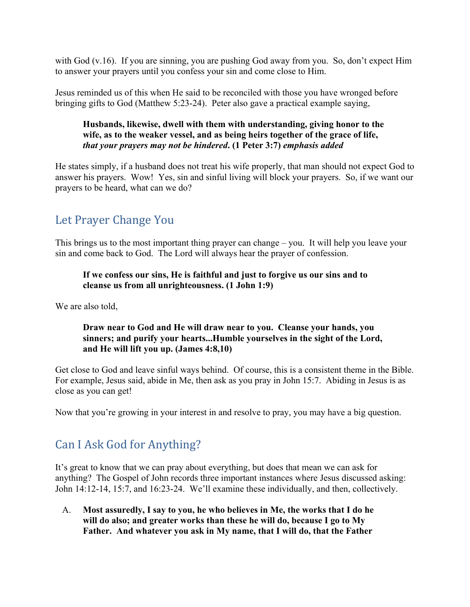with God (v.16). If you are sinning, you are pushing God away from you. So, don't expect Him to answer your prayers until you confess your sin and come close to Him.

Jesus reminded us of this when He said to be reconciled with those you have wronged before bringing gifts to God (Matthew 5:23-24). Peter also gave a practical example saying,

### **Husbands, likewise, dwell with them with understanding, giving honor to the wife, as to the weaker vessel, and as being heirs together of the grace of life,**  *that your prayers may not be hindered***. (1 Peter 3:7)** *emphasis added*

He states simply, if a husband does not treat his wife properly, that man should not expect God to answer his prayers. Wow! Yes, sin and sinful living will block your prayers. So, if we want our prayers to be heard, what can we do?

# <span id="page-5-0"></span>Let Prayer Change You

This brings us to the most important thing prayer can change – you. It will help you leave your sin and come back to God. The Lord will always hear the prayer of confession.

### **If we confess our sins, He is faithful and just to forgive us our sins and to cleanse us from all unrighteousness. (1 John 1:9)**

We are also told.

### **Draw near to God and He will draw near to you. Cleanse your hands, you sinners; and purify your hearts...Humble yourselves in the sight of the Lord, and He will lift you up. (James 4:8,10)**

Get close to God and leave sinful ways behind. Of course, this is a consistent theme in the Bible. For example, Jesus said, abide in Me, then ask as you pray in John 15:7. Abiding in Jesus is as close as you can get!

Now that you're growing in your interest in and resolve to pray, you may have a big question.

### <span id="page-5-1"></span>Can I Ask God for Anything?

It's great to know that we can pray about everything, but does that mean we can ask for anything? The Gospel of John records three important instances where Jesus discussed asking: John 14:12-14, 15:7, and 16:23-24. We'll examine these individually, and then, collectively.

A. **Most assuredly, I say to you, he who believes in Me, the works that I do he will do also; and greater works than these he will do, because I go to My Father. And whatever you ask in My name, that I will do, that the Father**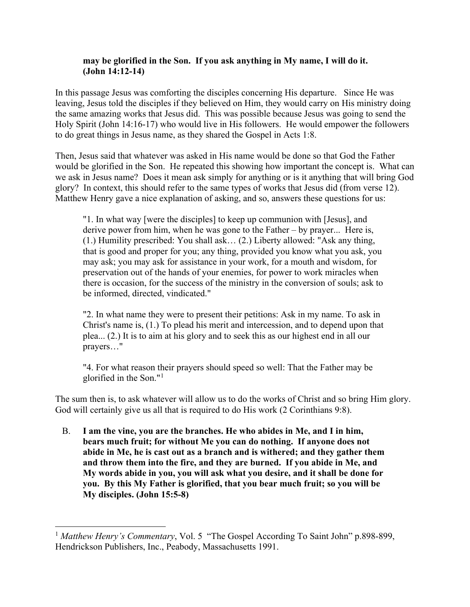### **may be glorified in the Son. If you ask anything in My name, I will do it. (John 14:12-14)**

In this passage Jesus was comforting the disciples concerning His departure. Since He was leaving, Jesus told the disciples if they believed on Him, they would carry on His ministry doing the same amazing works that Jesus did. This was possible because Jesus was going to send the Holy Spirit (John 14:16-17) who would live in His followers. He would empower the followers to do great things in Jesus name, as they shared the Gospel in Acts 1:8.

Then, Jesus said that whatever was asked in His name would be done so that God the Father would be glorified in the Son. He repeated this showing how important the concept is. What can we ask in Jesus name? Does it mean ask simply for anything or is it anything that will bring God glory? In context, this should refer to the same types of works that Jesus did (from verse 12). Matthew Henry gave a nice explanation of asking, and so, answers these questions for us:

"1. In what way [were the disciples] to keep up communion with [Jesus], and derive power from him, when he was gone to the Father – by prayer... Here is, (1.) Humility prescribed: You shall ask… (2.) Liberty allowed: "Ask any thing, that is good and proper for you; any thing, provided you know what you ask, you may ask; you may ask for assistance in your work, for a mouth and wisdom, for preservation out of the hands of your enemies, for power to work miracles when there is occasion, for the success of the ministry in the conversion of souls; ask to be informed, directed, vindicated."

"2. In what name they were to present their petitions: Ask in my name. To ask in Christ's name is, (1.) To plead his merit and intercession, and to depend upon that plea... (2.) It is to aim at his glory and to seek this as our highest end in all our prayers…"

"4. For what reason their prayers should speed so well: That the Father may be glorified in the Son."[1](#page-6-0)

The sum then is, to ask whatever will allow us to do the works of Christ and so bring Him glory. God will certainly give us all that is required to do His work (2 Corinthians 9:8).

B. **I am the vine, you are the branches. He who abides in Me, and I in him, bears much fruit; for without Me you can do nothing. If anyone does not abide in Me, he is cast out as a branch and is withered; and they gather them and throw them into the fire, and they are burned. If you abide in Me, and My words abide in you, you will ask what you desire, and it shall be done for you. By this My Father is glorified, that you bear much fruit; so you will be My disciples. (John 15:5-8)**

<span id="page-6-0"></span><sup>&</sup>lt;sup>1</sup> Matthew Henry's Commentary, Vol. 5 "The Gospel According To Saint John" p.898-899, Hendrickson Publishers, Inc., Peabody, Massachusetts 1991.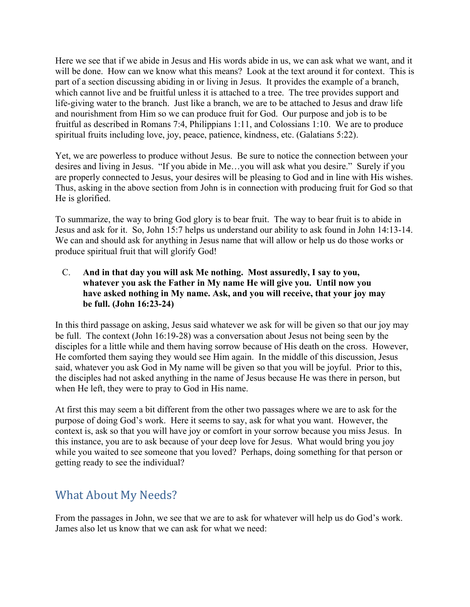Here we see that if we abide in Jesus and His words abide in us, we can ask what we want, and it will be done. How can we know what this means? Look at the text around it for context. This is part of a section discussing abiding in or living in Jesus. It provides the example of a branch, which cannot live and be fruitful unless it is attached to a tree. The tree provides support and life-giving water to the branch. Just like a branch, we are to be attached to Jesus and draw life and nourishment from Him so we can produce fruit for God. Our purpose and job is to be fruitful as described in Romans 7:4, Philippians 1:11, and Colossians 1:10. We are to produce spiritual fruits including love, joy, peace, patience, kindness, etc. (Galatians 5:22).

Yet, we are powerless to produce without Jesus. Be sure to notice the connection between your desires and living in Jesus. "If you abide in Me…you will ask what you desire." Surely if you are properly connected to Jesus, your desires will be pleasing to God and in line with His wishes. Thus, asking in the above section from John is in connection with producing fruit for God so that He is glorified.

To summarize, the way to bring God glory is to bear fruit. The way to bear fruit is to abide in Jesus and ask for it. So, John 15:7 helps us understand our ability to ask found in John 14:13-14. We can and should ask for anything in Jesus name that will allow or help us do those works or produce spiritual fruit that will glorify God!

### C. **And in that day you will ask Me nothing. Most assuredly, I say to you, whatever you ask the Father in My name He will give you. Until now you have asked nothing in My name. Ask, and you will receive, that your joy may be full. (John 16:23-24)**

In this third passage on asking, Jesus said whatever we ask for will be given so that our joy may be full. The context (John 16:19-28) was a conversation about Jesus not being seen by the disciples for a little while and them having sorrow because of His death on the cross. However, He comforted them saying they would see Him again. In the middle of this discussion, Jesus said, whatever you ask God in My name will be given so that you will be joyful. Prior to this, the disciples had not asked anything in the name of Jesus because He was there in person, but when He left, they were to pray to God in His name.

At first this may seem a bit different from the other two passages where we are to ask for the purpose of doing God's work. Here it seems to say, ask for what you want. However, the context is, ask so that you will have joy or comfort in your sorrow because you miss Jesus. In this instance, you are to ask because of your deep love for Jesus. What would bring you joy while you waited to see someone that you loved? Perhaps, doing something for that person or getting ready to see the individual?

# <span id="page-7-0"></span>What About My Needs?

From the passages in John, we see that we are to ask for whatever will help us do God's work. James also let us know that we can ask for what we need: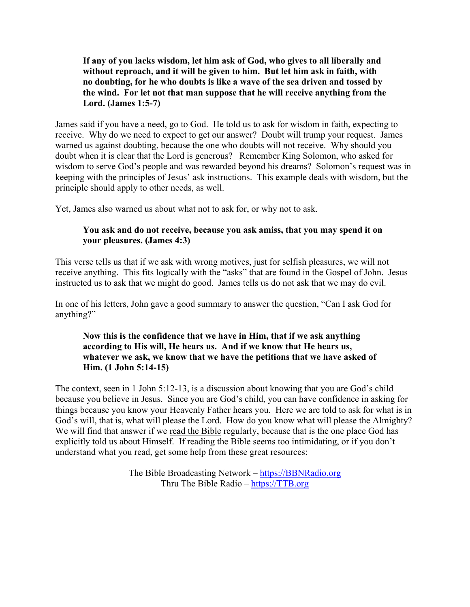**If any of you lacks wisdom, let him ask of God, who gives to all liberally and without reproach, and it will be given to him. But let him ask in faith, with no doubting, for he who doubts is like a wave of the sea driven and tossed by the wind. For let not that man suppose that he will receive anything from the Lord. (James 1:5-7)**

James said if you have a need, go to God. He told us to ask for wisdom in faith, expecting to receive. Why do we need to expect to get our answer? Doubt will trump your request. James warned us against doubting, because the one who doubts will not receive. Why should you doubt when it is clear that the Lord is generous? Remember King Solomon, who asked for wisdom to serve God's people and was rewarded beyond his dreams? Solomon's request was in keeping with the principles of Jesus' ask instructions. This example deals with wisdom, but the principle should apply to other needs, as well.

Yet, James also warned us about what not to ask for, or why not to ask.

### **You ask and do not receive, because you ask amiss, that you may spend it on your pleasures. (James 4:3)**

This verse tells us that if we ask with wrong motives, just for selfish pleasures, we will not receive anything. This fits logically with the "asks" that are found in the Gospel of John. Jesus instructed us to ask that we might do good. James tells us do not ask that we may do evil.

In one of his letters, John gave a good summary to answer the question, "Can I ask God for anything?"

### **Now this is the confidence that we have in Him, that if we ask anything according to His will, He hears us. And if we know that He hears us, whatever we ask, we know that we have the petitions that we have asked of Him. (1 John 5:14-15)**

The context, seen in 1 John 5:12-13, is a discussion about knowing that you are God's child because you believe in Jesus. Since you are God's child, you can have confidence in asking for things because you know your Heavenly Father hears you. Here we are told to ask for what is in God's will, that is, what will please the Lord. How do you know what will please the Almighty? We will find that answer if we read the Bible regularly, because that is the one place God has explicitly told us about Himself. If reading the Bible seems too intimidating, or if you don't understand what you read, get some help from these great resources:

> The Bible Broadcasting Network – [https://BBNRadio.org](https://bbnradio.org/) Thru The Bible Radio – [https://TTB.org](https://ttb.org/)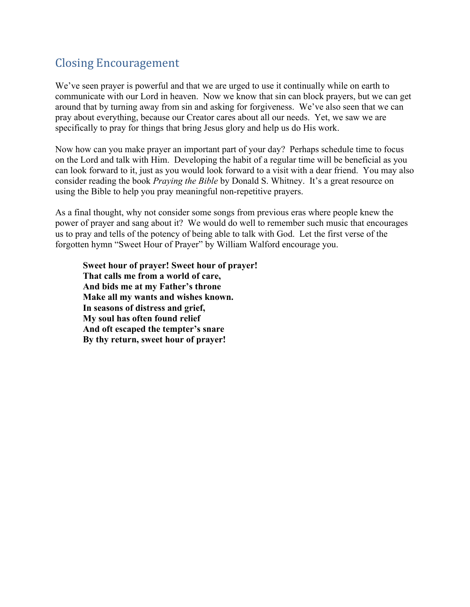# <span id="page-9-0"></span>Closing Encouragement

We've seen prayer is powerful and that we are urged to use it continually while on earth to communicate with our Lord in heaven. Now we know that sin can block prayers, but we can get around that by turning away from sin and asking for forgiveness. We've also seen that we can pray about everything, because our Creator cares about all our needs. Yet, we saw we are specifically to pray for things that bring Jesus glory and help us do His work.

Now how can you make prayer an important part of your day? Perhaps schedule time to focus on the Lord and talk with Him. Developing the habit of a regular time will be beneficial as you can look forward to it, just as you would look forward to a visit with a dear friend. You may also consider reading the book *Praying the Bible* by Donald S. Whitney. It's a great resource on using the Bible to help you pray meaningful non-repetitive prayers.

As a final thought, why not consider some songs from previous eras where people knew the power of prayer and sang about it? We would do well to remember such music that encourages us to pray and tells of the potency of being able to talk with God. Let the first verse of the forgotten hymn "Sweet Hour of Prayer" by William Walford encourage you.

**Sweet hour of prayer! Sweet hour of prayer! That calls me from a world of care, And bids me at my Father's throne Make all my wants and wishes known. In seasons of distress and grief, My soul has often found relief And oft escaped the tempter's snare By thy return, sweet hour of prayer!**